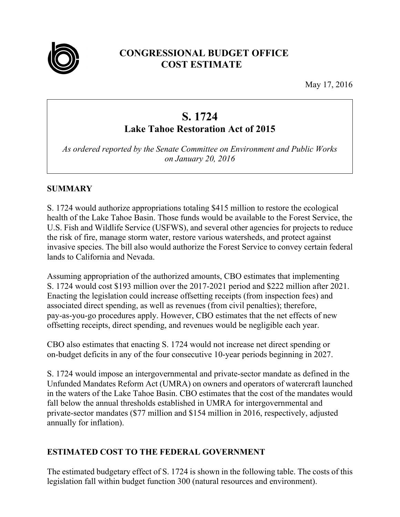

# **CONGRESSIONAL BUDGET OFFICE COST ESTIMATE**

May 17, 2016

# **S. 1724**

# **Lake Tahoe Restoration Act of 2015**

*As ordered reported by the Senate Committee on Environment and Public Works on January 20, 2016* 

#### **SUMMARY**

S. 1724 would authorize appropriations totaling \$415 million to restore the ecological health of the Lake Tahoe Basin. Those funds would be available to the Forest Service, the U.S. Fish and Wildlife Service (USFWS), and several other agencies for projects to reduce the risk of fire, manage storm water, restore various watersheds, and protect against invasive species. The bill also would authorize the Forest Service to convey certain federal lands to California and Nevada.

Assuming appropriation of the authorized amounts, CBO estimates that implementing S. 1724 would cost \$193 million over the 2017-2021 period and \$222 million after 2021. Enacting the legislation could increase offsetting receipts (from inspection fees) and associated direct spending, as well as revenues (from civil penalties); therefore, pay-as-you-go procedures apply. However, CBO estimates that the net effects of new offsetting receipts, direct spending, and revenues would be negligible each year.

CBO also estimates that enacting S. 1724 would not increase net direct spending or on-budget deficits in any of the four consecutive 10-year periods beginning in 2027.

S. 1724 would impose an intergovernmental and private-sector mandate as defined in the Unfunded Mandates Reform Act (UMRA) on owners and operators of watercraft launched in the waters of the Lake Tahoe Basin. CBO estimates that the cost of the mandates would fall below the annual thresholds established in UMRA for intergovernmental and private-sector mandates (\$77 million and \$154 million in 2016, respectively, adjusted annually for inflation).

# **ESTIMATED COST TO THE FEDERAL GOVERNMENT**

The estimated budgetary effect of S. 1724 is shown in the following table. The costs of this legislation fall within budget function 300 (natural resources and environment).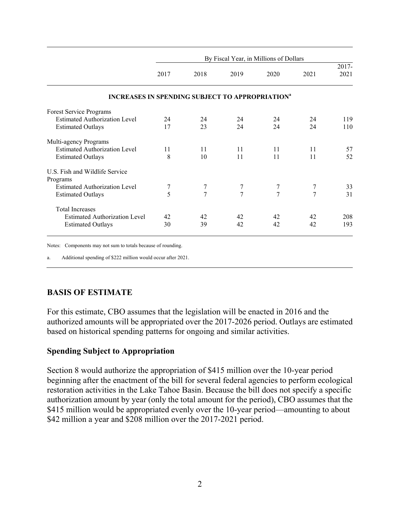|                                                                   | By Fiscal Year, in Millions of Dollars |      |                |      |      |               |
|-------------------------------------------------------------------|----------------------------------------|------|----------------|------|------|---------------|
|                                                                   | 2017                                   | 2018 | 2019           | 2020 | 2021 | 2017-<br>2021 |
|                                                                   |                                        |      |                |      |      |               |
| <b>INCREASES IN SPENDING SUBJECT TO APPROPRIATION<sup>a</sup></b> |                                        |      |                |      |      |               |
| Forest Service Programs                                           |                                        |      |                |      |      |               |
| <b>Estimated Authorization Level</b>                              | 24                                     | 24   | 24             | 24   | 24   | 119           |
| <b>Estimated Outlays</b>                                          | 17                                     | 23   | 24             | 24   | 24   | 110           |
| Multi-agency Programs                                             |                                        |      |                |      |      |               |
| <b>Estimated Authorization Level</b>                              | 11                                     | 11   | 11             | 11   | 11   | 57            |
| <b>Estimated Outlays</b>                                          | 8                                      | 10   | 11             | 11   | 11   | 52            |
| U.S. Fish and Wildlife Service                                    |                                        |      |                |      |      |               |
| Programs                                                          |                                        |      |                |      |      |               |
| <b>Estimated Authorization Level</b>                              | 7                                      | 7    | 7              | 7    | 7    | 33            |
| <b>Estimated Outlays</b>                                          | 5                                      | 7    | $\overline{7}$ | 7    | 7    | 31            |
| <b>Total Increases</b>                                            |                                        |      |                |      |      |               |
| <b>Estimated Authorization Level</b>                              | 42                                     | 42   | 42             | 42   | 42   | 208           |
| <b>Estimated Outlays</b>                                          | 30                                     | 39   | 42             | 42   | 42   | 193           |

Notes: Components may not sum to totals because of rounding.

Additional spending of \$222 million would occur after 2021.

#### **BASIS OF ESTIMATE**

For this estimate, CBO assumes that the legislation will be enacted in 2016 and the authorized amounts will be appropriated over the 2017-2026 period. Outlays are estimated based on historical spending patterns for ongoing and similar activities.

#### **Spending Subject to Appropriation**

Section 8 would authorize the appropriation of \$415 million over the 10-year period beginning after the enactment of the bill for several federal agencies to perform ecological restoration activities in the Lake Tahoe Basin. Because the bill does not specify a specific authorization amount by year (only the total amount for the period), CBO assumes that the \$415 million would be appropriated evenly over the 10-year period—amounting to about \$42 million a year and \$208 million over the 2017-2021 period.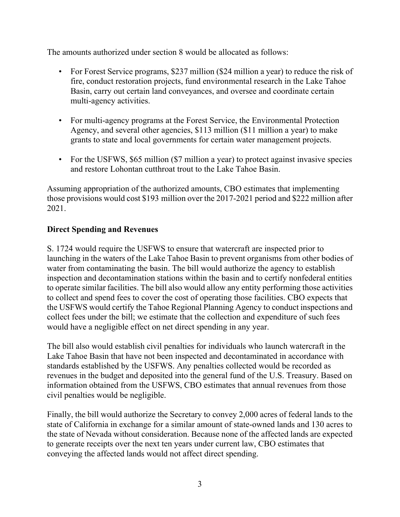The amounts authorized under section 8 would be allocated as follows:

- For Forest Service programs, \$237 million (\$24 million a year) to reduce the risk of fire, conduct restoration projects, fund environmental research in the Lake Tahoe Basin, carry out certain land conveyances, and oversee and coordinate certain multi-agency activities.
- For multi-agency programs at the Forest Service, the Environmental Protection Agency, and several other agencies, \$113 million (\$11 million a year) to make grants to state and local governments for certain water management projects.
- For the USFWS, \$65 million (\$7 million a year) to protect against invasive species and restore Lohontan cutthroat trout to the Lake Tahoe Basin.

Assuming appropriation of the authorized amounts, CBO estimates that implementing those provisions would cost \$193 million over the 2017-2021 period and \$222 million after 2021.

#### **Direct Spending and Revenues**

S. 1724 would require the USFWS to ensure that watercraft are inspected prior to launching in the waters of the Lake Tahoe Basin to prevent organisms from other bodies of water from contaminating the basin. The bill would authorize the agency to establish inspection and decontamination stations within the basin and to certify nonfederal entities to operate similar facilities. The bill also would allow any entity performing those activities to collect and spend fees to cover the cost of operating those facilities. CBO expects that the USFWS would certify the Tahoe Regional Planning Agency to conduct inspections and collect fees under the bill; we estimate that the collection and expenditure of such fees would have a negligible effect on net direct spending in any year.

The bill also would establish civil penalties for individuals who launch watercraft in the Lake Tahoe Basin that have not been inspected and decontaminated in accordance with standards established by the USFWS. Any penalties collected would be recorded as revenues in the budget and deposited into the general fund of the U.S. Treasury. Based on information obtained from the USFWS, CBO estimates that annual revenues from those civil penalties would be negligible.

Finally, the bill would authorize the Secretary to convey 2,000 acres of federal lands to the state of California in exchange for a similar amount of state-owned lands and 130 acres to the state of Nevada without consideration. Because none of the affected lands are expected to generate receipts over the next ten years under current law, CBO estimates that conveying the affected lands would not affect direct spending.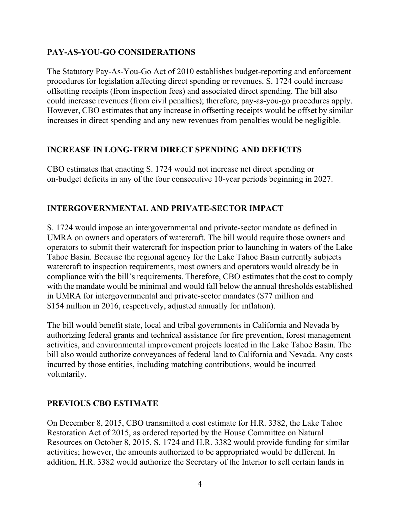## **PAY-AS-YOU-GO CONSIDERATIONS**

The Statutory Pay-As-You-Go Act of 2010 establishes budget-reporting and enforcement procedures for legislation affecting direct spending or revenues. S. 1724 could increase offsetting receipts (from inspection fees) and associated direct spending. The bill also could increase revenues (from civil penalties); therefore, pay-as-you-go procedures apply. However, CBO estimates that any increase in offsetting receipts would be offset by similar increases in direct spending and any new revenues from penalties would be negligible.

#### **INCREASE IN LONG-TERM DIRECT SPENDING AND DEFICITS**

CBO estimates that enacting S. 1724 would not increase net direct spending or on-budget deficits in any of the four consecutive 10-year periods beginning in 2027.

## **INTERGOVERNMENTAL AND PRIVATE-SECTOR IMPACT**

S. 1724 would impose an intergovernmental and private-sector mandate as defined in UMRA on owners and operators of watercraft. The bill would require those owners and operators to submit their watercraft for inspection prior to launching in waters of the Lake Tahoe Basin. Because the regional agency for the Lake Tahoe Basin currently subjects watercraft to inspection requirements, most owners and operators would already be in compliance with the bill's requirements. Therefore, CBO estimates that the cost to comply with the mandate would be minimal and would fall below the annual thresholds established in UMRA for intergovernmental and private-sector mandates (\$77 million and \$154 million in 2016, respectively, adjusted annually for inflation).

The bill would benefit state, local and tribal governments in California and Nevada by authorizing federal grants and technical assistance for fire prevention, forest management activities, and environmental improvement projects located in the Lake Tahoe Basin. The bill also would authorize conveyances of federal land to California and Nevada. Any costs incurred by those entities, including matching contributions, would be incurred voluntarily.

#### **PREVIOUS CBO ESTIMATE**

On December 8, 2015, CBO transmitted a cost estimate for H.R. 3382, the Lake Tahoe Restoration Act of 2015, as ordered reported by the House Committee on Natural Resources on October 8, 2015. S. 1724 and H.R. 3382 would provide funding for similar activities; however, the amounts authorized to be appropriated would be different. In addition, H.R. 3382 would authorize the Secretary of the Interior to sell certain lands in